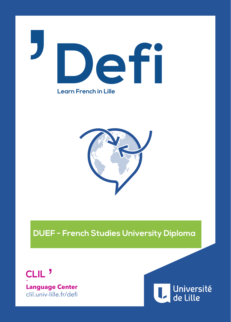

**Learn French in Lille**



**DUEF - French Studies University Diploma**